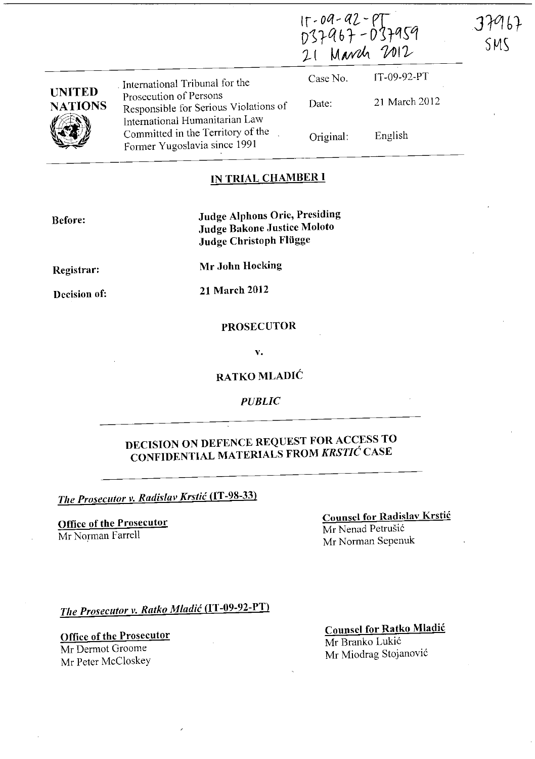|                                 |                                                                                                                                                                        | $15 - 09 - 92 - 97$<br>D37967-D37959<br>21 March 2012 |               | 37967<br>SMS |
|---------------------------------|------------------------------------------------------------------------------------------------------------------------------------------------------------------------|-------------------------------------------------------|---------------|--------------|
|                                 | International Tribunal for the                                                                                                                                         | Case No.                                              | IT-09-92-PT   |              |
| <b>UNITED</b><br><b>NATIONS</b> | Prosecution of Persons<br>Responsible for Serious Violations of<br>International Humanitarian Law<br>Committed in the Territory of the<br>Former Yugoslavia since 1991 | Date:                                                 | 21 March 2012 |              |
|                                 |                                                                                                                                                                        | Original:                                             | English       |              |

#### IN TRIAL CHAMBER **I**

Before:

Judge Alphons Orie, Presiding Judge Bakone Justice Moloto Judge Christoph Flügge

Registrar:

Mr John Hocking

Decision of:

21 March 2012

#### PROSECUTOR

v.

RATKO MLADIĆ

*PUBLIC* 

### DECISION ON DEFENCE REQUEST FOR ACCESS TO CONFIDENTIAL MATERIALS FROM *KRSTIC* CASE

*The Prosecutor v. Radislav Krstic* (IT -98-33)

Office of the Prosecutor Mr Norman Farrell

Counsel for Radislav Krstic Mr Nenad Petrušić Mr Norman Sepenuk

*The Prosecutor v. Ratko Mladic* (IT -09-92-PT)

Office of the Prosecutor Mr Dermot Groome Mr Peter McCloskey

Counsel for Ratko Mladic Mr Branko Lukic Mr Miodrag Stojanovic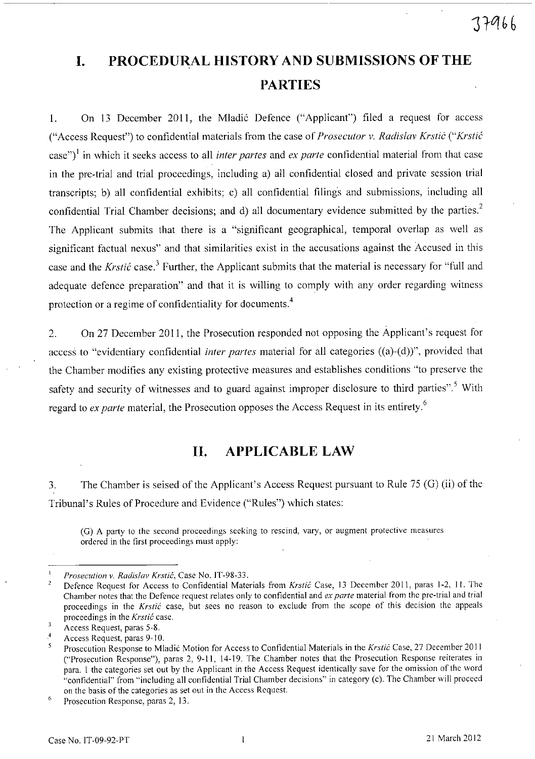## **I. PROCEDURAL HISTORY AND SUBMISSIONS OF THE PARTIES**

1. On 13 December 2011, the Mladić Defence ("Applicant") filed a request for access ("Access Request") to confidential materials from the case of *Prosecutor* v. *Radislav Krstic ("Krstic*  case")! in which it seeks access to all *inter partes* and *ex parte* confidential material from that case in the pre-trial and trial proceedings, including a) all confidential closed and private session trial transcripts; b) all confidential exhibits; c) all confidential filings and submissions, including all confidential Trial Chamber decisions; and d) all documentary evidence submitted by the parties.<sup>2</sup> The Applicant submits that there is a "significant geographical, temporal overlap as well as significant factual nexus" and that similarities exist in the accusations against the Accused in this case and the *Krstić* case.<sup>3</sup> Further, the Applicant submits that the material is necessary for "full and adequate defence preparation" and that it is willing to comply with any order regarding witness protection or a regime of confidentiality for documents.<sup>4</sup>

2. On 27 December 2011, the Prosecution responded not opposing the Applicant's request for access to "evidentiary confidential *inter partes* material for all categories ((a)-(d))", provided that the Chamber modifies any existing protective measures and establishes conditions "to preserve the safety and security of witnesses and to guard against improper disclosure to third parties".<sup>5</sup> With regard to *ex parte* material, the Prosecution opposes the Access Request in its entirety.<sup>6</sup>

#### **11. APPLICABLE LAW**

3. The Chamber is seised of the Applicant's Access Request pursuant to Rule 75 (G) (ii) of the Tribunal's Rules of Procedure and Evidence ("Rules") which states:

**(G) A party to the second proceedings seeking to rescind, vary, or augment protective measures**  ordered in the first proceedings must apply:

*Prosecution* **v.** *Radislav Krstic,* **Case No. IT-98-33.** 

Defence Request for Access to Confidential Materials from *Krstic* Case, 13 December 2011, paras 1-2, 11. The **Chamber notes that the Defence request relates only to confidential and** *ex parte* **material from the pre-trial and trial**  proceedings in the *Krstić* case, but sees no reason to exclude from the scope of this decision the appeals **proceedings in the** *Krstic* **case.** 

 $\overline{\mathbf{3}}$ Access Request, paras 5-8.

<sup>4</sup>  Access Request, paras 9-10.

Prosecution Response to Mladic Motion for Access to Confidential Materials in the *Krstic* Case, 27 December 20 11 ("Prosecution Response"), paras 2, 9-11, 14-19. The Chamber notes that the Prosecution Response reiterates in para. 1 the categories set out by the Applicant in the Access Request identically save for the omission of the word "confidential" from "including all confidential Trial Chamber decisions" in category (c). The Chamber will proceed **on the basis of the categories as set out in the Access Request.** 

<sup>6</sup>  **Prosecution Response, paras 2, 13.**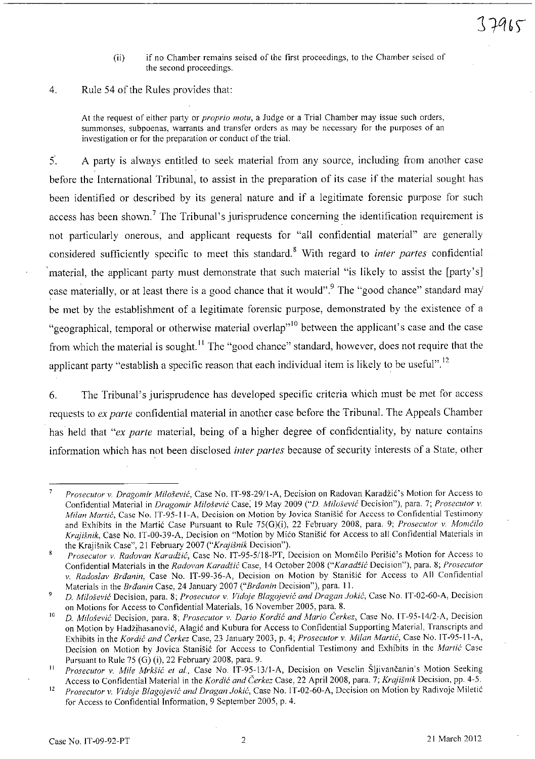(ii) if no Chamber remains seised of the first proceedings, to the Chamber seised of **the second proceedings.** 

4, Rule 54 of the Rules provides that:

At the request of either party or *proprio motu,* a Judge or a Trial Chamber may issue such orders, **summonses, subpoenas, warrants and transfer orders as may be necessary for the purposes of an investigation or for the preparation or conduct** of the **triaL** 

5', A party is always entitled to seek material from any source, including from another case before the International Tribunal, to assist in the preparation of its case if the material sought has been identified or described by its general nature and if a legitimate forensic purpose for such access has been shown.<sup>7</sup> The Tribunal's jurisprudence concerning the identification requirement is not particularly onerous, and applicant requests for "all confidential material" are generally considered sufficiently specific to meet this standard,8 With regard to *inter partes* confidential material, the applicant party must demonstrate that such material "is likely to assist the [party's] case materially, or at least there is a good chance that it would".<sup>9</sup> The "good chance" standard may be met by the establishment of a legitimate forensic purpose, demonstrated by the existence of a "geographical, temporal or otherwise material overlap"<sup>10</sup> between the applicant's case and the case from which the material is sought.<sup>11</sup> The "good chance" standard, however, does not require that the applicant party "establish a specific reason that each individual item is likely to be useful".<sup>12</sup>

6, The Tribunal's jurisprudence has developed specific criteria which must be met for access requests to *ex parte* confidential material in another case before the Tribunal. The Appeals Chamber has held that *"ex parte* material, being of a higher degree of confidentiality, by nature contains information which has not been disclosed *inter partes* because of security interests of a State, other

*Prosecutor v. Dragomir Milošević*, Case No. IT-98-29/1-A, Decision on Radovan Karadžić's Motion for Access to **Confidential Material in** *Dragomir Milo.sevic* **Case; 19 May 2009** *("D. Milosevic* **Decision"), para. 7;** *Prosecutor v. A1ilun MaNic,* **Case No. IT-95-11-A, Decision on Motion by Jovica Stanisic for Access to Confidential Testimony**  and Exhibits in the Martic Case Pursuant to Rule 75(G)(i), 22 February 2008, para, 9; *Prosecutor* v. *Momcilo Krajišnik*, Case No. 1T-00-39-A, Decision on "Motion by Mićo Stanišić for Access to all Confidential Materials in the Krajišnik Case", 21 February 2007 ("Krajišnik Decision").

*Prosecutor* **v.** *Radovan Karadiic,* **Case No. IT-95-5118-PT, Decision on Momcilo Pcrisit's Motion for Access to**   $\mathbf{\hat{x}}$ **Confidential Materials in the** *Radovan Karadiic* **Case, 14 October 2008** *("Karadiic* **Decision"), para. 8;** *Prosecutor*  v. Radoslav Brđanin, Case No. IT-99-36-A, Decision on Motion by Stanišić for Access to All Confidential Materials in the *Brtlanin* Case, 24 January 2007 *("Brtlanin* Decision"), para. 11,

<sup>9</sup>  **D.** *Milosevic* **Decision, para. 8;** *Prosecutor* **v.** *Vidoje Blagojevic and Dragan Jokic,* **Case No. IT-02-60-A, Decision**  on Motions for Access to Confidential Materials, 16 November 2005, para. 8,

<sup>10</sup>  **D.** *Milosevic* **Decision, para. 8;** *Prosecutor v. Dario Kordic and Mario Cerkez,* **Case No.** *IT-95-14/2-A,* **Decision**  on Motion by Hadzihasanovic, Alagic and Kubura for Access to Confidential Supporting Material, Transcripts and Exhibits in the *Kordić and Čerkez Case, 23 January 2003, p. 4; Prosecutor v. Milan Martić, Case No. IT-95-11-A,* Decision on Motion by Jovica Stanisic for Access to Confidential Testimony and Exhibits in the *Martit* Case Pursuant to Rule 75 (G) (i), 22 February 2008, para, 9,

<sup>11</sup>  *Prosecutor* v. *Mile MrkSic et aI.,* Case No. IT-95-1311-A, Decision on Veselin Sljivancanin's Motion Seeking Access to Confidential Material in the *Kordic and Cerkez* Case, 22 April 2008, para. 7; *Kra)isnik* Decision, pp, 4-5.

<sup>12</sup>  Prosecutor v. Vidoje Blagojević and Dragan Jokić, Case No. IT-02-60-A, Decision on Motion by Radivoje Miletić for Access to Confidential Information, 9 September 2005, p, 4,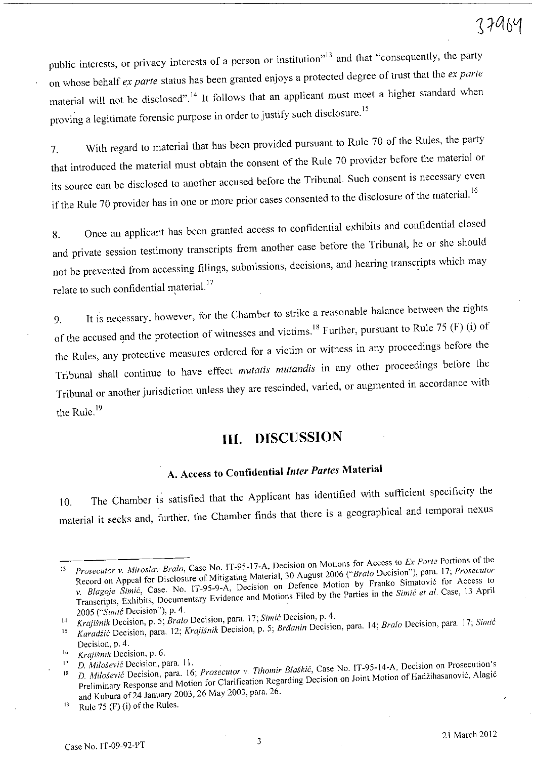public interests, or privacy interests of a person or institution"<sup>13</sup> and that "consequently, the party on whose behalf *ex parte* status has been granted enjoys a protected degree of trust that the ex *parte*  material will not be disclosed".<sup>14</sup> It follows that an applicant must meet a higher standard when proving a legitimate forensic purpose in order to justify such disclosure.<sup>15</sup>

7. With regard to material that has been provided pursuant to Rule <sup>70</sup>of the Rules, the party that introduced the material must obtain the consent of the Rule 70 provider before the material or its source can be disclosed to another accused before the Tribunal. Such consent is necessary even if the Rule 70 provider has in one or more prior cases consented to the disclosure of the material.<sup>16</sup>

8. Once an applicant has been granted access to confidential exhibits and confidential closed and private session testimony transcripts from another case before the Tribunal, he or she should not be prevented from accessing filings, submissions, decisions, and hearing transcripts which may relate to such confidential material.<sup>17</sup>

9. It is necessary, however, for the Chamber to strike a reasonable balance between the rights of the accused and the protection of witnesses and victims.<sup>18</sup> Further, pursuant to Rule 75 (F) (i) of the Rules, any protective measures ordered for a victim or witness in any proceedings before the Tribunal shall continue to have effect *mutatis mutandis* in any other proceedings before the Tribunal or another jurisdiction unless they are rescinded, varied, or augmented in accordance with the Rule.<sup>19</sup>

### **Ill. DISCUSSION**

### **A. Access to Confidential** *Inter Partes* **Material**

10. The Chamber is satisfied that the Applicant has identified with sufficient specificity the material it seeks and, further, the Chamber finds that there is a geographical and temporal nexus

<sup>13</sup> *Prosecutor* **v.** *Miroslav Bra/a,* **Case No. IT-95-17-A, Decision on Motions for Access to** *Ex Parte* **Portions** of the Record on Appeal for Disclosure of Mitigating Material, 30 August 2006 *("Braio* Decision"), para. 17; *Proseculor v. Blagoje Simic,* **Case. No. IT-95-9-A, Decision on Defence Motion by Franko Simatovic for Access to**  Transcripts, Exhibits, Documentary Evidence and Motions. Filed by the Parties in the *Simic et al.* Case, 13 April *2005 ("Simit* Decision"), p. 4.

**<sup>\4</sup>** *Krajisnik* **Decision, p. 5;** *Bralo* **Decision, para. 17;** *Simic* **Decision, p. 4.** 

<sup>15</sup> Karadžić Decision, para. 12; Krajišnik Decision, p. 5; Brđanin Decision, para. 14; Bralo Decision, para. 17; Simić

Decision, p. 4. 16 *Krajišnik* Decision, p. 6.

<sup>&</sup>lt;sup>17</sup> D. Milošević Decision, para. 11.<br><sup>18</sup> D. Milošević Decision, para. 16; Prosecutor v. Tihomir Blaškić, Case No. IT-95-14-A, Decision on Prosecution's **Preliminary Response and Motion for Clarification Regarding Decision on Joint Motion of Hadzihasanovi6, Alagi6**  and Kubura of 24 January 2003, 26 May 2003, para. 26.

 $19$  Rule 75 (F) (i) of the Rules.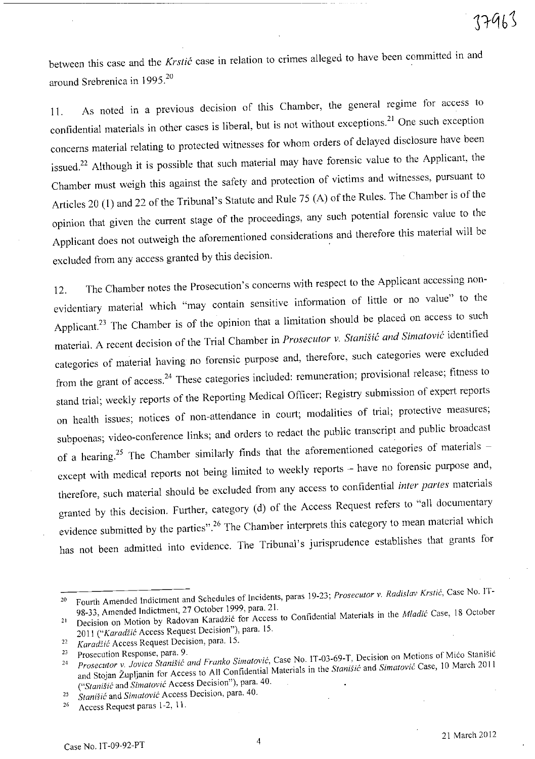between this case and the *Krstic* case in relation to crimes alleged to have been committed in and around Srebrenica in 1995.<sup>20</sup>

11. As noted in a previous decision of this Chamber, the general regime for access to confidential materials in other cases is liberal, but is not without exceptions.<sup>21</sup> One such exception concerns material relating to protected witnesses for whom orders of delayed disclosure have been issued.<sup>22</sup> Although it is possible that such material may have forensic value to the Applicant, the Chamber must weigh this against the safety and protection of victims and witnesses, pursuant to Articles 20 (1) and 22 of the Tribunal's Statute and Rule 75 (A) of the Rules. The Chamber is of the opinion that given the current stage of the proceedings, any such potential forensic value to the Applicant does not outweigh the aforementioned considerations and therefore this material will be excluded from any access granted by this decision.

12. The Chamber notes the Prosecution's concerns with respect to the Applicant accessing nonevidentiary material which "may contain sensitive information of little or no value" to the Applicant.<sup>23</sup> The Chamber is of the opinion that a limitation should be placed on access to such material. A recent decision of the Trial Chamber in *Prosecutor* v. *Stanisic and Simalovic* identified categories of material having no forensic purpose and, therefore, such categories were excluded from the grant of access.<sup>24</sup> These categories included: remuneration; provisional release; fitness to stand trial; weekly reports of the Reporting Medical Officer; Registry submission of expert reports on health issues; notices of non-attendance in court; modalities of trial; protective measures; subpoenas; video-conference links; and orders to redact the public transcript and public broadcast of a hearing.<sup>25</sup> The Chamber similarly finds that the aforementioned categories of materials except with medical reports not being limited to weekly reports - have no forensic purpose and, therefore, such material should be excluded from any access to confidential *inter partes* materials granted by this decision. Further, category (d) of the Access Request refers to "all documentary evidence submitted by the parties".<sup>26</sup> The Chamber interprets this category to mean material which has not been admitted into evidence. The Tribunal's jurisprudence establishes that grants for

**<sup>20</sup> Fourth Amended Indictment and Schedules of Incidents, paras 19-23;** *Prosecutor* **v.** *Radislav Krstic,* **Case No. 1T-**98-33, Amended Indictment, 27 October 1999, para. 21.

<sup>&</sup>lt;sup>21</sup> Decision on Motion by Radovan Karadžić for Access to Confidential Materials in the *Mladić* Case, 18 October *2011 ("Karadiic* Access Request Decision"), para. 15.

*<sup>22</sup>KaradZic* **Access Request Decision, para. 15.** 

<sup>&</sup>lt;sup>23</sup> Prosecution Response, para. 9.<br><sup>24</sup> Prosecutor y Jovica Stanišić and Franko Simatović, Case No. IT-03-69-T, Decision on Motions of Mićo Stanišić and Stojan ZupIjanin for Access to All Confidential Materials in the *StaniSic* and *Simatovic* Case, 10 March 2011 *("Stanisic* **and** *Simatovic* **Access Decision"), para. 40.** 

<sup>25</sup> *Stanišić* and *Simatović* Access Decision, para. 40.

<sup>&</sup>lt;sup>26</sup> Access Request paras 1-2, 11.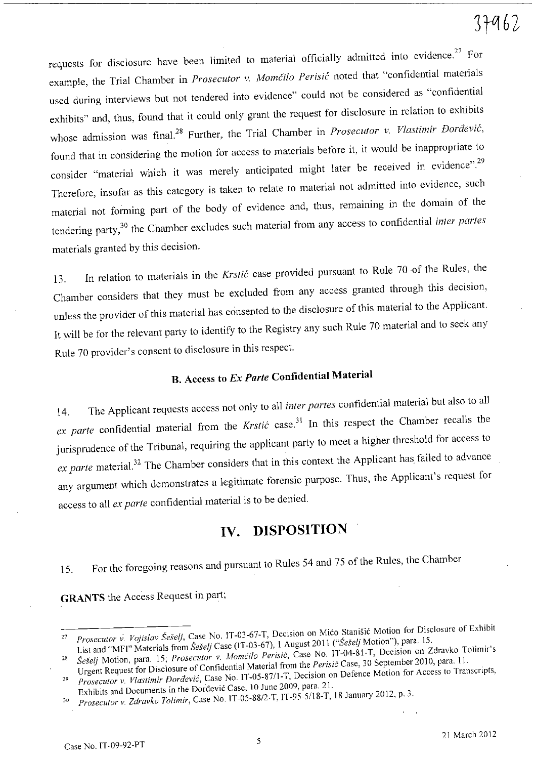# $37962$

requests for disclosure have been limited to material officially admitted into evidence.<sup>27</sup> For example, the Trial Chamber in *Prosecutor v. Momčilo Perisić* noted that "confidential materials used during interviews but not tendered into evidence" could not be considered as "confidential exhibits" and, thus, found that it could only grant the request for disclosure in relation to exhibits whose admission was final.<sup>28</sup> Further, the Trial Chamber in *Prosecutor v. Vlastimir Đorđević*, found that in considering the motion for access to materials before it, it would be inappropriate to consider "material which it was merely anticipated might later be received in evidence".<sup>29</sup> Therefore, insofar as this category is taken to relate to material not admitted into evidence, such material not forming part of the body of evidence and, thus, remaining in the domain of the tendering party,30 the Chamber excludes such material from any access to confidential *inter partes*  materials granted by this decision.

13. In relation to materials in the *Krstic* case provided pursuant to Rule <sup>70</sup>-of the Rules, the Chamber considers that they must be excluded from any access granted through this decision, unless the provider of this material has consented to the disclosure of this material to the Applicant. It will be for the relevant party to identify to the Registry any such Rule <sup>70</sup>material and to seek any Rule 70 provider's consent to disclosure in this respect.

## B. Access **to** *Ex Parte* **Confidential Material**

14. The Applicant requests access not only to all *inter partes* confidential material but also to all ex parte confidential material from the *Krstić* case.<sup>31</sup> In this respect the Chamber recalls the jurisprudence of the Tribunal, requiring the applicant party to meet a higher threshold for access to ex parte material.<sup>32</sup> The Chamber considers that in this context the Applicant has failed to advance any argument which demonstrates a legitimate forensic purpose. Thus, the Applicant's request for access to all ex *parte* confidential material is to be denied.

### **IV. DISPOSITION**

15. For the foregoing reasons and pursuant to Rules 54 and <sup>75</sup>of the Rules, the Chamber

**GRANTS** the Access Request in part;

<sup>27</sup> *Prosecutor* **v.** *Vojislav Seselj,* **Case No. IT-03-67-T, Decision on Mica Stanisic Motion for Disclosure of Exhibit**  List and "MFI" Materials from *Šešelj* Case (IT-03-67), 1 August 2011 ("Šešelj Motion"), para. 15.

<sup>28</sup> *SeSe/j* Motion, para. 15; *Prosecutor* v. *Momcilo Perisic,* Case No. IT-04-81-T, Decision on Zdravko Tolimir's Urgent Request for Disclosure of Confidential Material from the *Perisic* Case, 30 September 2010, para. 11.

*<sup>29</sup> Prosecutor* **v.** *Vlastimir Doraevic,* **Case No. IT-05-8711-T, Decision on Defence Motion for Access to Transcripts,**  Exhibits and Documents in the Dordevic Case, 10 June 2009, para. 21.

*<sup>30</sup> Prosecutor* v. *Zdravko Tolimir,* Case No. IT-05-SS/2-T, IT-95-5I1S-T, IS January 2012, p. 3.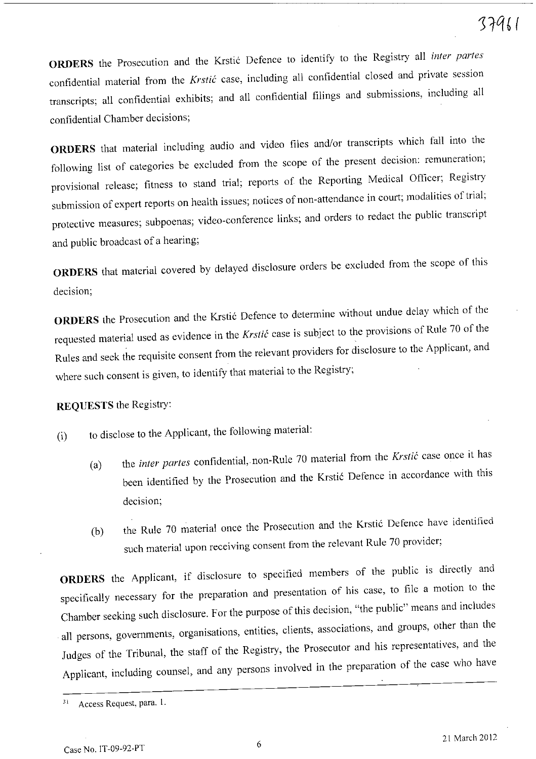**ORDERS** the Prosecution and the Krstić Defence to identify to the Registry all *inter partes* confidential material from the *Krstić* case, including all confidential closed and private session transcripts; all confidential exhibits; and all confidential filings and submissions, including all confidential Chamber decisions;

**ORDERS** that material including audio and video files and/or transcripts which fall into the following list of categories be excluded from the scope of the present decision: remuneration; provisional release; fitness to stand trial; reports of the Reporting Medical Officer; Registry submission of expert reports on health issues; notices of non-attendance in court; modalities of trial; protective measures; subpoenas; video-conference links; and orders to redact the public transcript and public broadcast of a hearing;

**ORDERS** that material covered by delayed disclosure orders be excluded from the scope of this decision;

**ORDERS** the Prosecution and the Krstic Defence to determine without undue delay which of the requested material used as evidence in the *Krstic* case is subject to the provisions of Rule 70 of the Rules and seek the requisite consent from the relevant providers for disclosure to the Applicant, and where such consent is given, to identify that material to the Registry;

#### **REQUESTS** the Registry:

(i) to disclose to the Applicant, the following material:

- (a) the *inter partes* confidential, non-Rule 70 material from the *Krstic* case once it has been identified by the Prosecution and the Krstic Defence in accordance with this decision;
- (b) the Rule 70 material once the Prosecution and the Krstić Defence have identified such material upon receiving consent from the relevant Rule 70 provider;

**ORDERS** the Applicant, if disclosure to specified members of the public is directly and specifically necessary for the preparation and presentation of his case, to file a motion to the Chamber seeking such disclosure. For the purpose of this decision, "the public" means and includes all persons, governments, organisations, entities, clients, associations, and groups, other than the Judges of the Tribunal, the staff of the Registry, the Prosecutor and his representatives, and the Applicant, including counsel, and any persons involved in the preparation of the case who have

**<sup>31</sup>Access Request, para. 1.**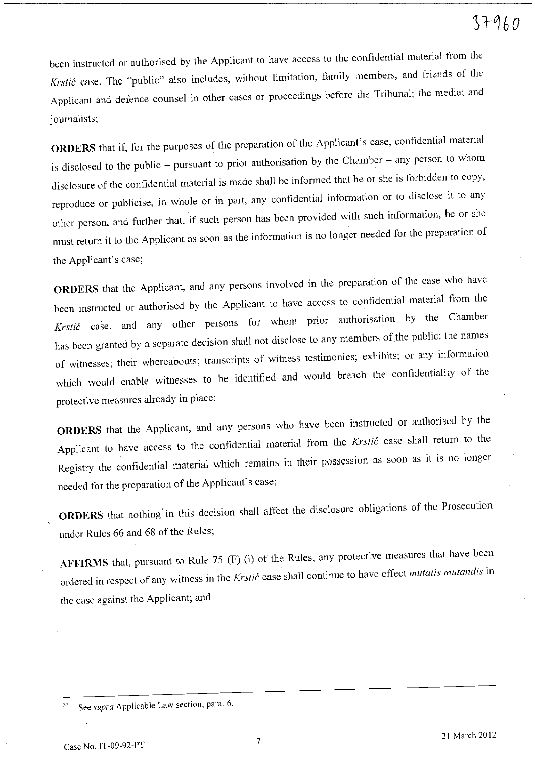# $37960$

been instructed or authorised by the Applicant to have access to the confidential material from the *Krstic* case. The "public" also includes, without limitation, family members, and friends of the Applicant and defence counsel in other cases or proceedings before the Tribunal; the media; and journalists;

**ORDERS** that if, for the purposes of the preparation of the Applicant's case, confidential material is disclosed to the public – pursuant to prior authorisation by the Chamber – any person to whom disclosure of the confidential material is made shall be informed that he or she is forbidden to copy, reproduce or publicise, in whole or in part, any confidential information or to disclose it to any other person, and further that, if such person has been provided with such information, he or she must return it to the Applicant as soon as the information is no longer needed for the preparation of the Applicant's case;

**ORDERS** that the Applicant, and any persons involved in the preparation of the case who have been instructed or authorised by the Applicant to have access to confidential material from the *Krstic* case, and any other persons for whom prior authorisation by the Chamber has been granted by a separate decision shall not disclose to any members of the public: the names of witnesses; their whereabouts; transcripts of witness testimonies; exhibits; or any information which would enable witnesses to be identified and would breach the confidentiality of the protective measures already in place;

**ORDERS** that the Applicant, and any persons who have been instructed or authorised by the Applicant to have access to the confidential material from the *Krstic* case shall return to the Registry the confidential material which remains in their possession as soon as it is no longer needed for the preparation of the Applicant's case;

**ORDERS** that nothing' in this decision shall affect the disclosure obligations of the Prosecution under Rules 66 and 68 of the Rules;

**AFFIRMS** that, pursuant to Rule 75 (F) (i) of the Rules, any protective measures that have been ordered in respect of any witness in the *Krstic* case shall continue to have effect *mutatis mutandis* in the case against the Applicant; and

<sup>32</sup> See *supra* Applicable Law section, para. 6.